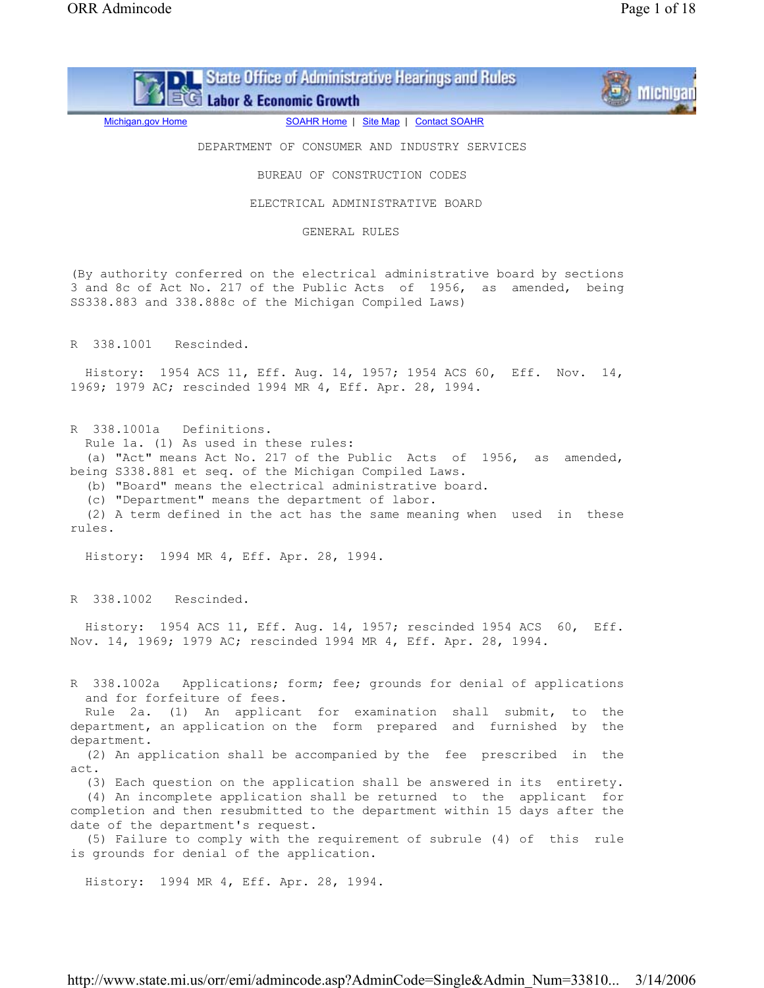State Office of Administrative Hearings and Rules EG Labor & Economic Growth



Michigan.gov Home **SOAHR Home | Site Map | Contact SOAHR** 

DEPARTMENT OF CONSUMER AND INDUSTRY SERVICES

BUREAU OF CONSTRUCTION CODES

ELECTRICAL ADMINISTRATIVE BOARD

GENERAL RULES

(By authority conferred on the electrical administrative board by sections 3 and 8c of Act No. 217 of the Public Acts of 1956, as amended, being SS338.883 and 338.888c of the Michigan Compiled Laws)

R 338.1001 Rescinded.

 History: 1954 ACS 11, Eff. Aug. 14, 1957; 1954 ACS 60, Eff. Nov. 14, 1969; 1979 AC; rescinded 1994 MR 4, Eff. Apr. 28, 1994.

R 338.1001a Definitions.

Rule 1a. (1) As used in these rules:

 (a) "Act" means Act No. 217 of the Public Acts of 1956, as amended, being S338.881 et seq. of the Michigan Compiled Laws.

(b) "Board" means the electrical administrative board.

(c) "Department" means the department of labor.

 (2) A term defined in the act has the same meaning when used in these rules.

History: 1994 MR 4, Eff. Apr. 28, 1994.

R 338.1002 Rescinded.

 History: 1954 ACS 11, Eff. Aug. 14, 1957; rescinded 1954 ACS 60, Eff. Nov. 14, 1969; 1979 AC; rescinded 1994 MR 4, Eff. Apr. 28, 1994.

R 338.1002a Applications; form; fee; grounds for denial of applications and for forfeiture of fees.

 Rule 2a. (1) An applicant for examination shall submit, to the department, an application on the form prepared and furnished by the department.

 (2) An application shall be accompanied by the fee prescribed in the  $AC<sup>+</sup>$ 

(3) Each question on the application shall be answered in its entirety.

 (4) An incomplete application shall be returned to the applicant for completion and then resubmitted to the department within 15 days after the date of the department's request.

 (5) Failure to comply with the requirement of subrule (4) of this rule is grounds for denial of the application.

History: 1994 MR 4, Eff. Apr. 28, 1994.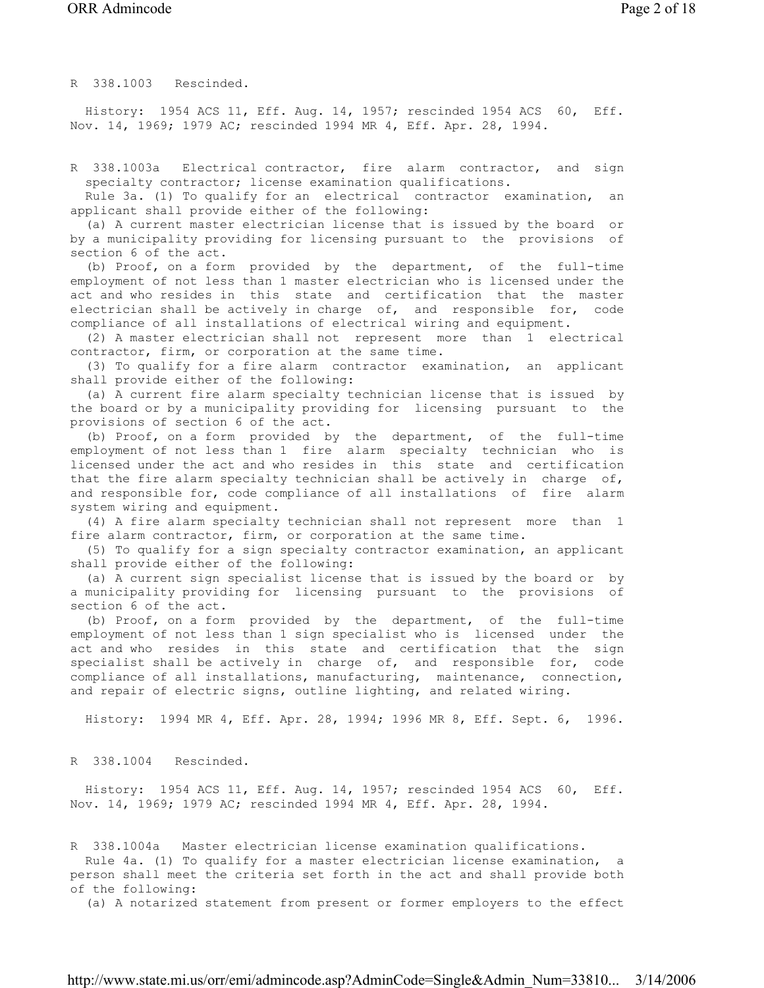R 338.1003 Rescinded.

 History: 1954 ACS 11, Eff. Aug. 14, 1957; rescinded 1954 ACS 60, Eff. Nov. 14, 1969; 1979 AC; rescinded 1994 MR 4, Eff. Apr. 28, 1994.

R 338.1003a Electrical contractor, fire alarm contractor, and sign specialty contractor; license examination qualifications.

 Rule 3a. (1) To qualify for an electrical contractor examination, an applicant shall provide either of the following:

 (a) A current master electrician license that is issued by the board or by a municipality providing for licensing pursuant to the provisions of section 6 of the act.

 (b) Proof, on a form provided by the department, of the full-time employment of not less than 1 master electrician who is licensed under the act and who resides in this state and certification that the master electrician shall be actively in charge of, and responsible for, code compliance of all installations of electrical wiring and equipment.

 (2) A master electrician shall not represent more than 1 electrical contractor, firm, or corporation at the same time.

 (3) To qualify for a fire alarm contractor examination, an applicant shall provide either of the following:

 (a) A current fire alarm specialty technician license that is issued by the board or by a municipality providing for licensing pursuant to the provisions of section 6 of the act.

 (b) Proof, on a form provided by the department, of the full-time employment of not less than 1 fire alarm specialty technician who is licensed under the act and who resides in this state and certification that the fire alarm specialty technician shall be actively in charge of, and responsible for, code compliance of all installations of fire alarm system wiring and equipment.

 (4) A fire alarm specialty technician shall not represent more than 1 fire alarm contractor, firm, or corporation at the same time.

 (5) To qualify for a sign specialty contractor examination, an applicant shall provide either of the following:

 (a) A current sign specialist license that is issued by the board or by a municipality providing for licensing pursuant to the provisions of section 6 of the act.

 (b) Proof, on a form provided by the department, of the full-time employment of not less than 1 sign specialist who is licensed under the act and who resides in this state and certification that the sign specialist shall be actively in charge of, and responsible for, code compliance of all installations, manufacturing, maintenance, connection, and repair of electric signs, outline lighting, and related wiring.

History: 1994 MR 4, Eff. Apr. 28, 1994; 1996 MR 8, Eff. Sept. 6, 1996.

R 338.1004 Rescinded.

 History: 1954 ACS 11, Eff. Aug. 14, 1957; rescinded 1954 ACS 60, Eff. Nov. 14, 1969; 1979 AC; rescinded 1994 MR 4, Eff. Apr. 28, 1994.

R 338.1004a Master electrician license examination qualifications. Rule 4a. (1) To qualify for a master electrician license examination, a person shall meet the criteria set forth in the act and shall provide both of the following:

(a) A notarized statement from present or former employers to the effect

http://www.state.mi.us/orr/emi/admincode.asp?AdminCode=Single&Admin\_Num=33810... 3/14/2006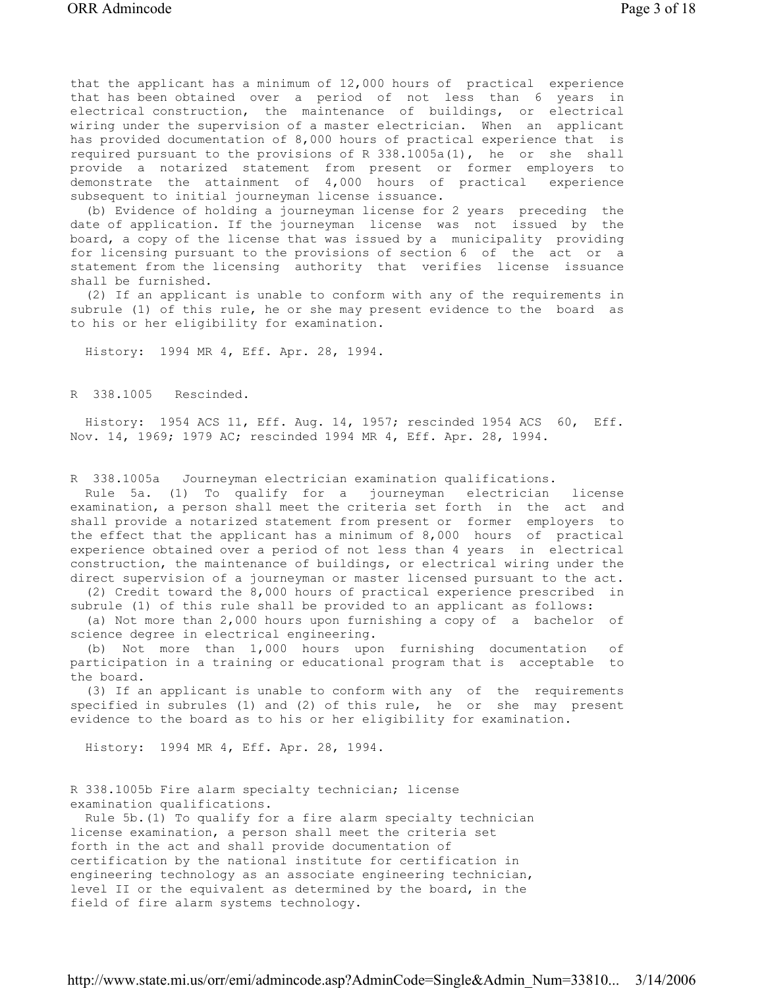that the applicant has a minimum of 12,000 hours of practical experience that has been obtained over a period of not less than 6 years in electrical construction, the maintenance of buildings, or electrical wiring under the supervision of a master electrician. When an applicant has provided documentation of 8,000 hours of practical experience that is required pursuant to the provisions of R 338.1005a(1), he or she shall provide a notarized statement from present or former employers to demonstrate the attainment of 4,000 hours of practical experience subsequent to initial journeyman license issuance.

 (b) Evidence of holding a journeyman license for 2 years preceding the date of application. If the journeyman license was not issued by the board, a copy of the license that was issued by a municipality providing for licensing pursuant to the provisions of section 6 of the act or a statement from the licensing authority that verifies license issuance shall be furnished.

 (2) If an applicant is unable to conform with any of the requirements in subrule (1) of this rule, he or she may present evidence to the board as to his or her eligibility for examination.

History: 1994 MR 4, Eff. Apr. 28, 1994.

R 338.1005 Rescinded.

 History: 1954 ACS 11, Eff. Aug. 14, 1957; rescinded 1954 ACS 60, Eff. Nov. 14, 1969; 1979 AC; rescinded 1994 MR 4, Eff. Apr. 28, 1994.

R 338.1005a Journeyman electrician examination qualifications.

 Rule 5a. (1) To qualify for a journeyman electrician license examination, a person shall meet the criteria set forth in the act and shall provide a notarized statement from present or former employers to the effect that the applicant has a minimum of 8,000 hours of practical experience obtained over a period of not less than 4 years in electrical construction, the maintenance of buildings, or electrical wiring under the direct supervision of a journeyman or master licensed pursuant to the act.

 (2) Credit toward the 8,000 hours of practical experience prescribed in subrule (1) of this rule shall be provided to an applicant as follows:

 (a) Not more than 2,000 hours upon furnishing a copy of a bachelor of science degree in electrical engineering.

 (b) Not more than 1,000 hours upon furnishing documentation of participation in a training or educational program that is acceptable to the board.

 (3) If an applicant is unable to conform with any of the requirements specified in subrules (1) and (2) of this rule, he or she may present evidence to the board as to his or her eligibility for examination.

History: 1994 MR 4, Eff. Apr. 28, 1994.

R 338.1005b Fire alarm specialty technician; license examination qualifications.

 Rule 5b.(1) To qualify for a fire alarm specialty technician license examination, a person shall meet the criteria set forth in the act and shall provide documentation of certification by the national institute for certification in engineering technology as an associate engineering technician, level II or the equivalent as determined by the board, in the field of fire alarm systems technology.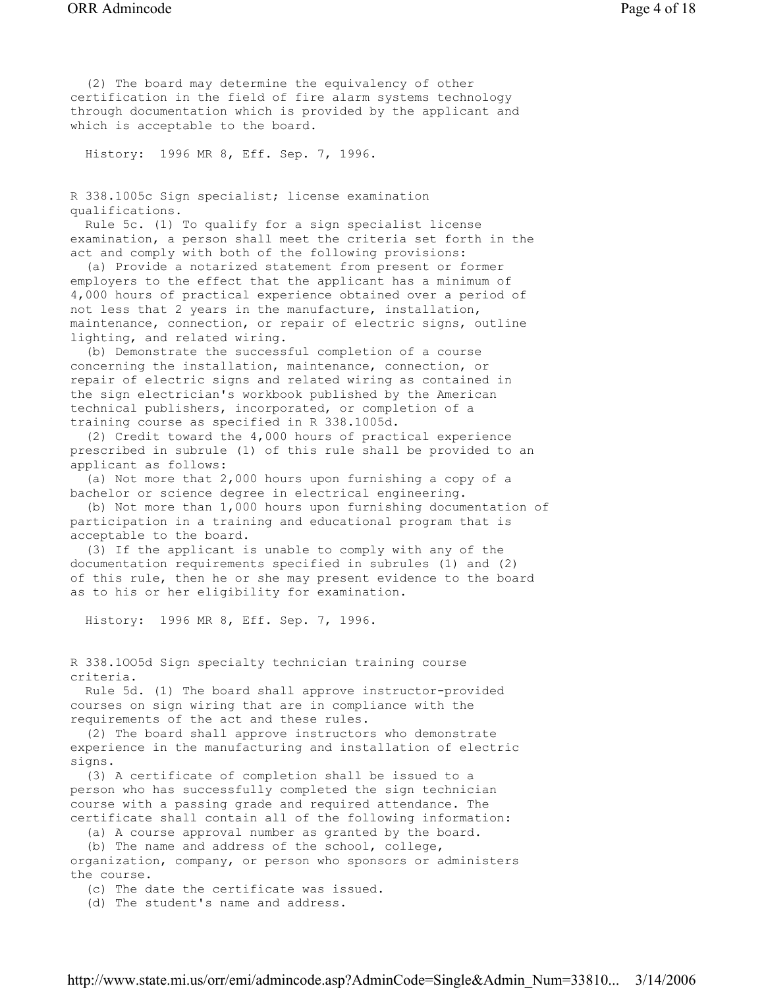(2) The board may determine the equivalency of other certification in the field of fire alarm systems technology through documentation which is provided by the applicant and which is acceptable to the board.

History: 1996 MR 8, Eff. Sep. 7, 1996.

R 338.1005c Sign specialist; license examination qualifications.

 Rule 5c. (1) To qualify for a sign specialist license examination, a person shall meet the criteria set forth in the act and comply with both of the following provisions:

 (a) Provide a notarized statement from present or former employers to the effect that the applicant has a minimum of 4,000 hours of practical experience obtained over a period of not less that 2 years in the manufacture, installation, maintenance, connection, or repair of electric signs, outline lighting, and related wiring.

 (b) Demonstrate the successful completion of a course concerning the installation, maintenance, connection, or repair of electric signs and related wiring as contained in the sign electrician's workbook published by the American technical publishers, incorporated, or completion of a training course as specified in R 338.1005d.

 (2) Credit toward the 4,000 hours of practical experience prescribed in subrule (1) of this rule shall be provided to an applicant as follows:

 (a) Not more that 2,000 hours upon furnishing a copy of a bachelor or science degree in electrical engineering.

 (b) Not more than 1,000 hours upon furnishing documentation of participation in a training and educational program that is acceptable to the board.

 (3) If the applicant is unable to comply with any of the documentation requirements specified in subrules (1) and (2) of this rule, then he or she may present evidence to the board as to his or her eligibility for examination.

History: 1996 MR 8, Eff. Sep. 7, 1996.

R 338.1OO5d Sign specialty technician training course criteria.

 Rule 5d. (1) The board shall approve instructor-provided courses on sign wiring that are in compliance with the requirements of the act and these rules.

 (2) The board shall approve instructors who demonstrate experience in the manufacturing and installation of electric signs.

 (3) A certificate of completion shall be issued to a person who has successfully completed the sign technician course with a passing grade and required attendance. The certificate shall contain all of the following information:

(a) A course approval number as granted by the board.

(b) The name and address of the school, college,

organization, company, or person who sponsors or administers the course.

(c) The date the certificate was issued.

(d) The student's name and address.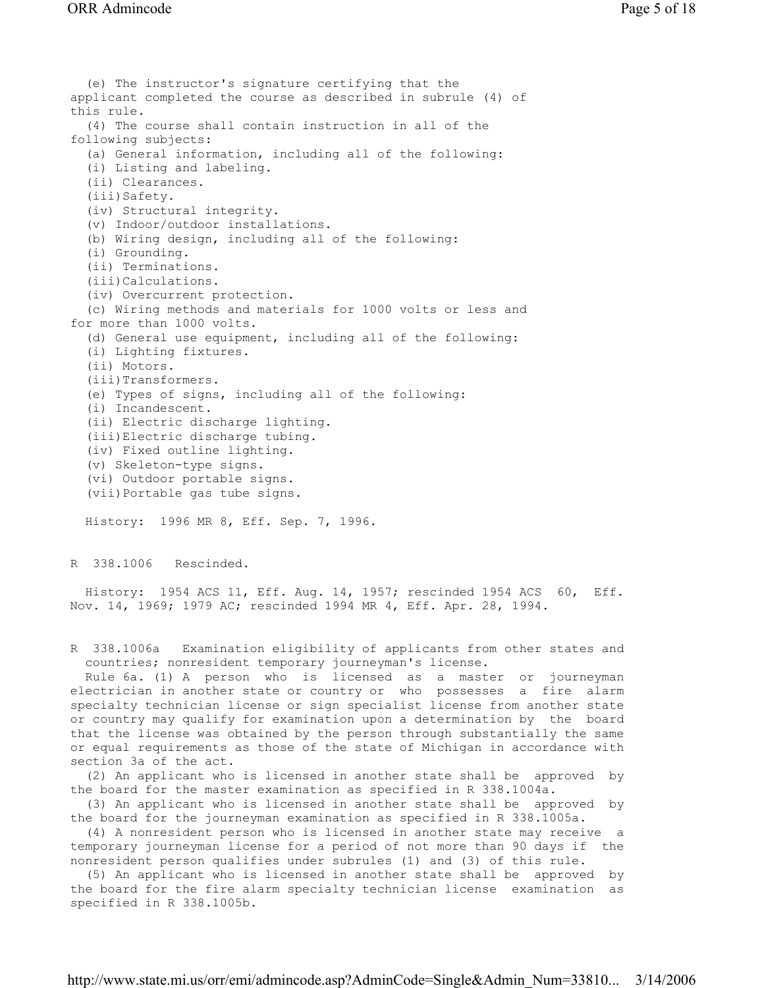(e) The instructor's signature certifying that the applicant completed the course as described in subrule (4) of this rule. (4) The course shall contain instruction in all of the following subjects: (a) General information, including all of the following: (i) Listing and labeling. (ii) Clearances. (iii)Safety. (iv) Structural integrity. (v) Indoor/outdoor installations. (b) Wiring design, including all of the following: (i) Grounding. (ii) Terminations. (iii)Calculations. (iv) Overcurrent protection. (c) Wiring methods and materials for 1000 volts or less and for more than 1000 volts. (d) General use equipment, including all of the following: (i) Lighting fixtures. (ii) Motors. (iii)Transformers. (e) Types of signs, including all of the following: (i) Incandescent. (ii) Electric discharge lighting. (iii)Electric discharge tubing. (iv) Fixed outline lighting. (v) Skeleton-type signs. (vi) Outdoor portable signs. (vii)Portable gas tube signs.

History: 1996 MR 8, Eff. Sep. 7, 1996.

R 338.1006 Rescinded.

 History: 1954 ACS 11, Eff. Aug. 14, 1957; rescinded 1954 ACS 60, Eff. Nov. 14, 1969; 1979 AC; rescinded 1994 MR 4, Eff. Apr. 28, 1994.

R 338.1006a Examination eligibility of applicants from other states and countries; nonresident temporary journeyman's license.

 Rule 6a. (1) A person who is licensed as a master or journeyman electrician in another state or country or who possesses a fire alarm specialty technician license or sign specialist license from another state or country may qualify for examination upon a determination by the board that the license was obtained by the person through substantially the same or equal requirements as those of the state of Michigan in accordance with section 3a of the act.

 (2) An applicant who is licensed in another state shall be approved by the board for the master examination as specified in R 338.1004a.

 (3) An applicant who is licensed in another state shall be approved by the board for the journeyman examination as specified in R 338.1005a.

 (4) A nonresident person who is licensed in another state may receive a temporary journeyman license for a period of not more than 90 days if the nonresident person qualifies under subrules (1) and (3) of this rule.

 (5) An applicant who is licensed in another state shall be approved by the board for the fire alarm specialty technician license examination as specified in R 338.1005b.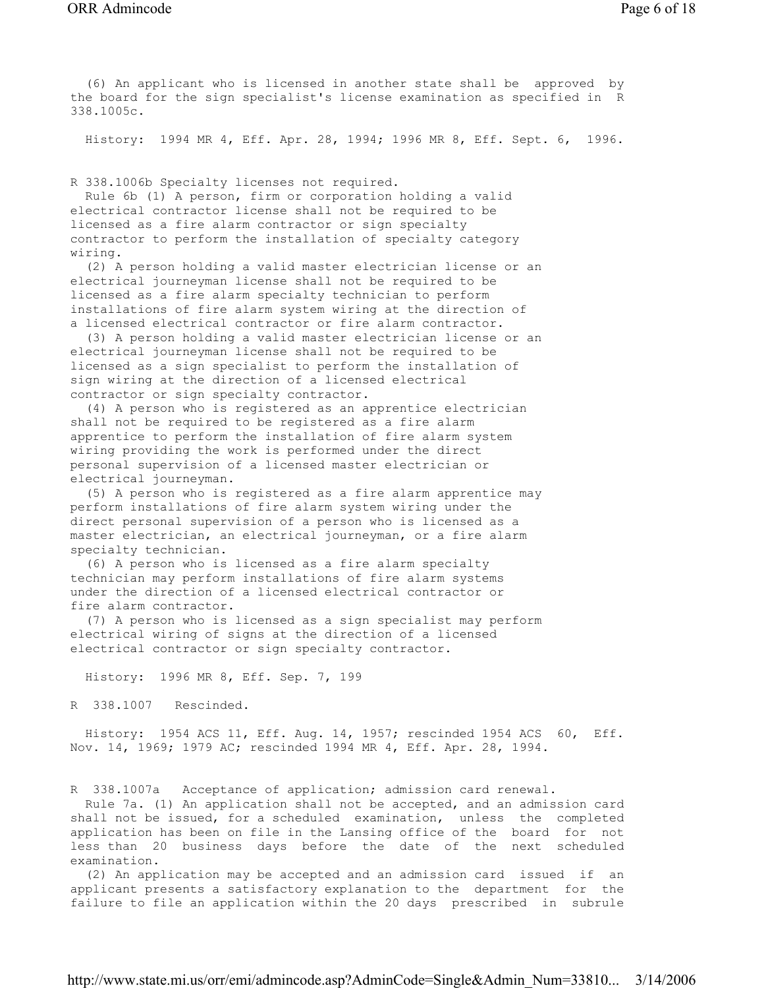(6) An applicant who is licensed in another state shall be approved by the board for the sign specialist's license examination as specified in R 338.1005c.

History: 1994 MR 4, Eff. Apr. 28, 1994; 1996 MR 8, Eff. Sept. 6, 1996.

R 338.1006b Specialty licenses not required.

 Rule 6b (1) A person, firm or corporation holding a valid electrical contractor license shall not be required to be licensed as a fire alarm contractor or sign specialty contractor to perform the installation of specialty category wiring.

 (2) A person holding a valid master electrician license or an electrical journeyman license shall not be required to be licensed as a fire alarm specialty technician to perform installations of fire alarm system wiring at the direction of a licensed electrical contractor or fire alarm contractor.

 (3) A person holding a valid master electrician license or an electrical journeyman license shall not be required to be licensed as a sign specialist to perform the installation of sign wiring at the direction of a licensed electrical contractor or sign specialty contractor.

 (4) A person who is registered as an apprentice electrician shall not be required to be registered as a fire alarm apprentice to perform the installation of fire alarm system wiring providing the work is performed under the direct personal supervision of a licensed master electrician or electrical journeyman.

 (5) A person who is registered as a fire alarm apprentice may perform installations of fire alarm system wiring under the direct personal supervision of a person who is licensed as a master electrician, an electrical journeyman, or a fire alarm specialty technician.

 (6) A person who is licensed as a fire alarm specialty technician may perform installations of fire alarm systems under the direction of a licensed electrical contractor or fire alarm contractor.

 (7) A person who is licensed as a sign specialist may perform electrical wiring of signs at the direction of a licensed electrical contractor or sign specialty contractor.

History: 1996 MR 8, Eff. Sep. 7, 199

R 338.1007 Rescinded.

 History: 1954 ACS 11, Eff. Aug. 14, 1957; rescinded 1954 ACS 60, Eff. Nov. 14, 1969; 1979 AC; rescinded 1994 MR 4, Eff. Apr. 28, 1994.

R 338.1007a Acceptance of application; admission card renewal.

 Rule 7a. (1) An application shall not be accepted, and an admission card shall not be issued, for a scheduled examination, unless the completed application has been on file in the Lansing office of the board for not less than 20 business days before the date of the next scheduled examination.

 (2) An application may be accepted and an admission card issued if an applicant presents a satisfactory explanation to the department for the failure to file an application within the 20 days prescribed in subrule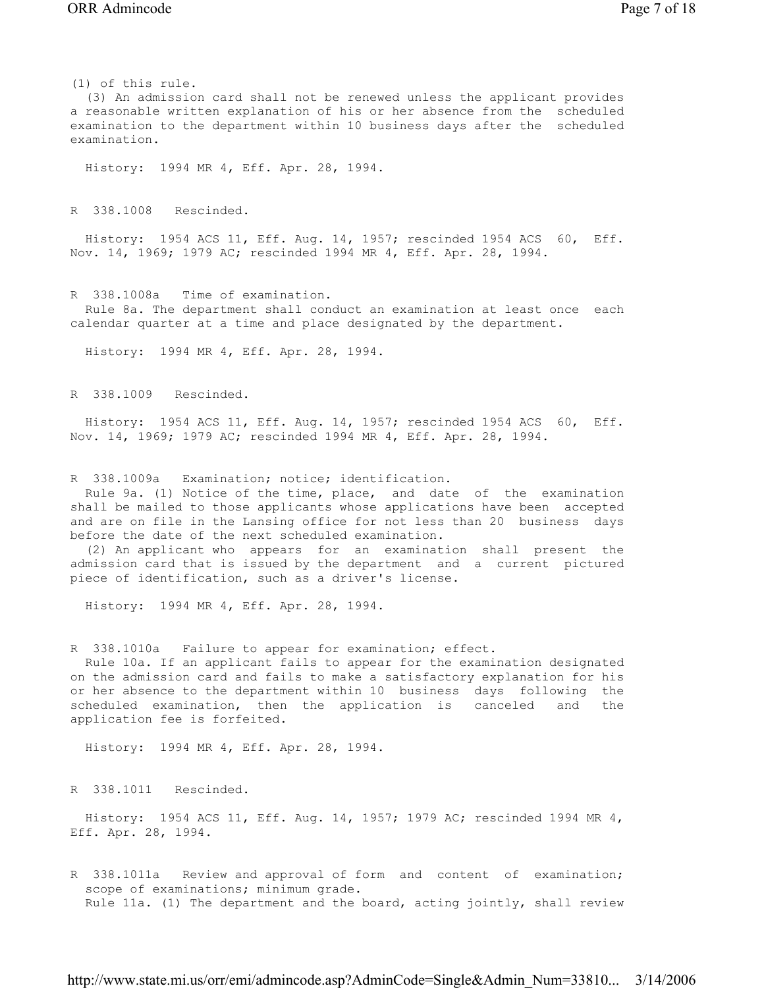History: 1994 MR 4, Eff. Apr. 28, 1994.

R 338.1008 Rescinded.

 History: 1954 ACS 11, Eff. Aug. 14, 1957; rescinded 1954 ACS 60, Eff. Nov. 14, 1969; 1979 AC; rescinded 1994 MR 4, Eff. Apr. 28, 1994.

R 338.1008a Time of examination. Rule 8a. The department shall conduct an examination at least once each calendar quarter at a time and place designated by the department.

History: 1994 MR 4, Eff. Apr. 28, 1994.

R 338.1009 Rescinded.

 History: 1954 ACS 11, Eff. Aug. 14, 1957; rescinded 1954 ACS 60, Eff. Nov. 14, 1969; 1979 AC; rescinded 1994 MR 4, Eff. Apr. 28, 1994.

R 338.1009a Examination; notice; identification.

 Rule 9a. (1) Notice of the time, place, and date of the examination shall be mailed to those applicants whose applications have been accepted and are on file in the Lansing office for not less than 20 business days before the date of the next scheduled examination.

 (2) An applicant who appears for an examination shall present the admission card that is issued by the department and a current pictured piece of identification, such as a driver's license.

History: 1994 MR 4, Eff. Apr. 28, 1994.

R 338.1010a Failure to appear for examination; effect.

 Rule 10a. If an applicant fails to appear for the examination designated on the admission card and fails to make a satisfactory explanation for his or her absence to the department within 10 business days following the scheduled examination, then the application is canceled and the application fee is forfeited.

History: 1994 MR 4, Eff. Apr. 28, 1994.

R 338.1011 Rescinded.

 History: 1954 ACS 11, Eff. Aug. 14, 1957; 1979 AC; rescinded 1994 MR 4, Eff. Apr. 28, 1994.

R 338.1011a Review and approval of form and content of examination; scope of examinations; minimum grade. Rule 11a. (1) The department and the board, acting jointly, shall review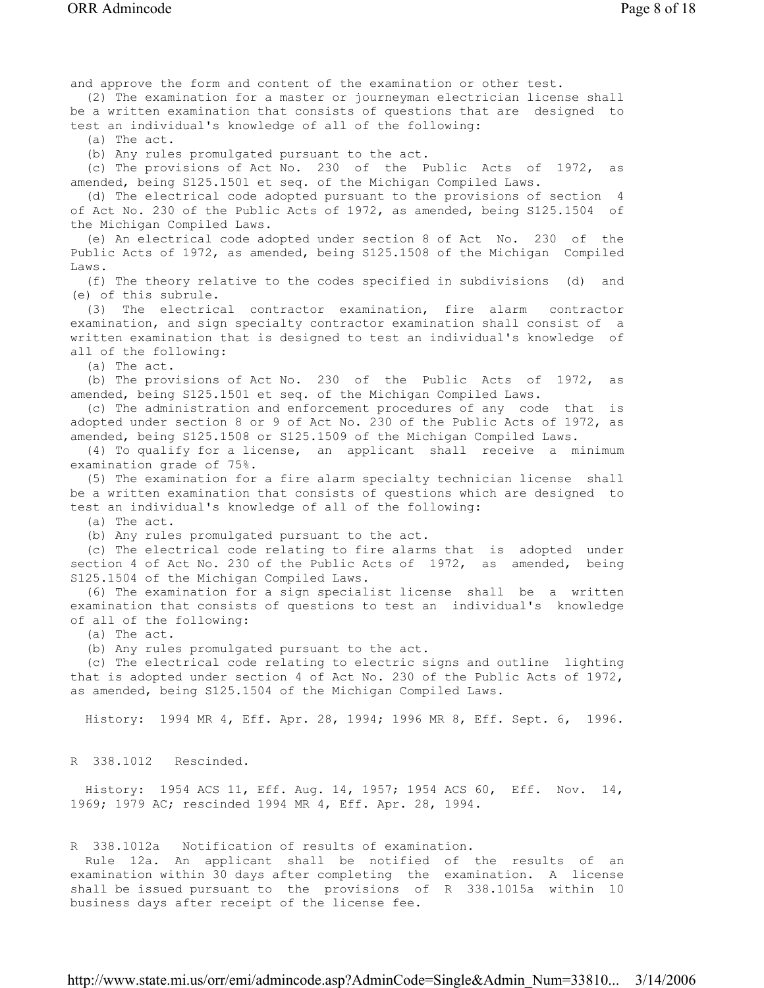and approve the form and content of the examination or other test. (2) The examination for a master or journeyman electrician license shall be a written examination that consists of questions that are designed to test an individual's knowledge of all of the following: (a) The act. (b) Any rules promulgated pursuant to the act. (c) The provisions of Act No. 230 of the Public Acts of 1972, as amended, being S125.1501 et seq. of the Michigan Compiled Laws. (d) The electrical code adopted pursuant to the provisions of section 4 of Act No. 230 of the Public Acts of 1972, as amended, being S125.1504 of the Michigan Compiled Laws. (e) An electrical code adopted under section 8 of Act No. 230 of the Public Acts of 1972, as amended, being S125.1508 of the Michigan Compiled Laws. (f) The theory relative to the codes specified in subdivisions (d) and (e) of this subrule. (3) The electrical contractor examination, fire alarm contractor examination, and sign specialty contractor examination shall consist of a written examination that is designed to test an individual's knowledge of all of the following: (a) The act. (b) The provisions of Act No. 230 of the Public Acts of 1972, as amended, being S125.1501 et seq. of the Michigan Compiled Laws. (c) The administration and enforcement procedures of any code that is adopted under section 8 or 9 of Act No. 230 of the Public Acts of 1972, as amended, being S125.1508 or S125.1509 of the Michigan Compiled Laws. (4) To qualify for a license, an applicant shall receive a minimum examination grade of 75%. (5) The examination for a fire alarm specialty technician license shall be a written examination that consists of questions which are designed to test an individual's knowledge of all of the following: (a) The act. (b) Any rules promulgated pursuant to the act. (c) The electrical code relating to fire alarms that is adopted under section 4 of Act No. 230 of the Public Acts of 1972, as amended, being S125.1504 of the Michigan Compiled Laws. (6) The examination for a sign specialist license shall be a written examination that consists of questions to test an individual's knowledge of all of the following: (a) The act. (b) Any rules promulgated pursuant to the act. (c) The electrical code relating to electric signs and outline lighting that is adopted under section 4 of Act No. 230 of the Public Acts of 1972, as amended, being S125.1504 of the Michigan Compiled Laws. History: 1994 MR 4, Eff. Apr. 28, 1994; 1996 MR 8, Eff. Sept. 6, 1996. R 338.1012 Rescinded. History: 1954 ACS 11, Eff. Aug. 14, 1957; 1954 ACS 60, Eff. Nov. 14, 1969; 1979 AC; rescinded 1994 MR 4, Eff. Apr. 28, 1994. R 338.1012a Notification of results of examination. Rule 12a. An applicant shall be notified of the results of an examination within 30 days after completing the examination. A license shall be issued pursuant to the provisions of R 338.1015a within 10

http://www.state.mi.us/orr/emi/admincode.asp?AdminCode=Single&Admin\_Num=33810... 3/14/2006

business days after receipt of the license fee.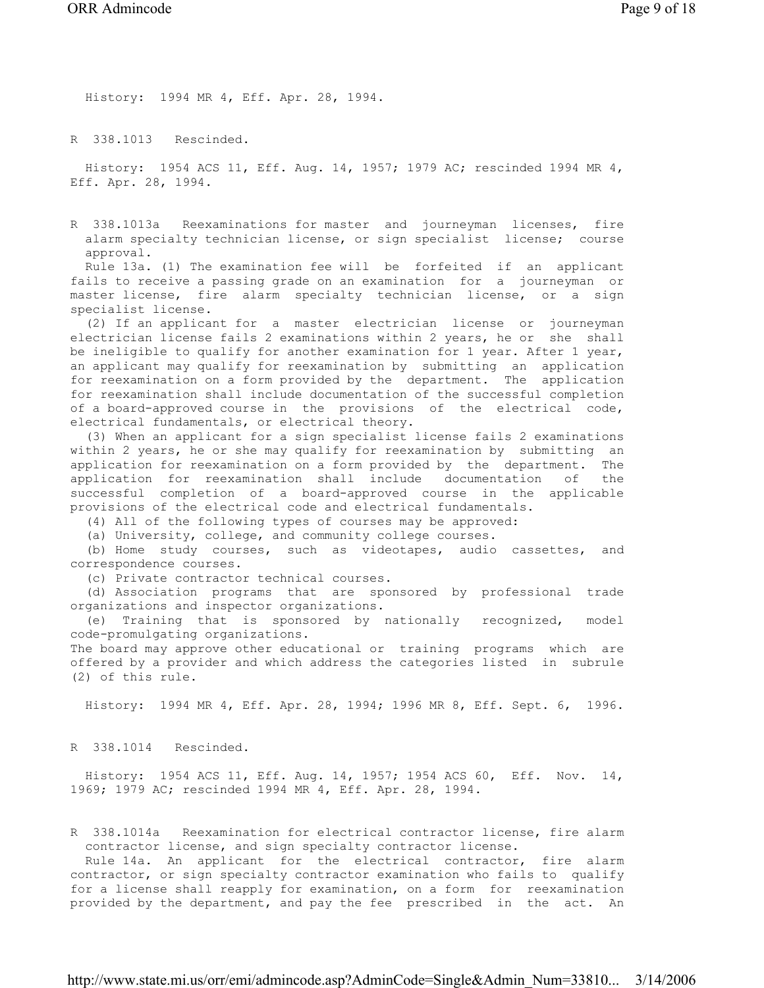History: 1994 MR 4, Eff. Apr. 28, 1994.

R 338.1013 Rescinded.

 History: 1954 ACS 11, Eff. Aug. 14, 1957; 1979 AC; rescinded 1994 MR 4, Eff. Apr. 28, 1994.

R 338.1013a Reexaminations for master and journeyman licenses, fire alarm specialty technician license, or sign specialist license; course approval.

 Rule 13a. (1) The examination fee will be forfeited if an applicant fails to receive a passing grade on an examination for a journeyman or master license, fire alarm specialty technician license, or a sign specialist license.

 (2) If an applicant for a master electrician license or journeyman electrician license fails 2 examinations within 2 years, he or she shall be ineligible to qualify for another examination for 1 year. After 1 year, an applicant may qualify for reexamination by submitting an application for reexamination on a form provided by the department. The application for reexamination shall include documentation of the successful completion of a board-approved course in the provisions of the electrical code, electrical fundamentals, or electrical theory.

 (3) When an applicant for a sign specialist license fails 2 examinations within 2 years, he or she may qualify for reexamination by submitting an application for reexamination on a form provided by the department. The application for reexamination shall include documentation of the successful completion of a board-approved course in the applicable provisions of the electrical code and electrical fundamentals.

(4) All of the following types of courses may be approved:

(a) University, college, and community college courses.

 (b) Home study courses, such as videotapes, audio cassettes, and correspondence courses.

(c) Private contractor technical courses.

 (d) Association programs that are sponsored by professional trade organizations and inspector organizations.

 (e) Training that is sponsored by nationally recognized, model code-promulgating organizations.

The board may approve other educational or training programs which are offered by a provider and which address the categories listed in subrule (2) of this rule.

History: 1994 MR 4, Eff. Apr. 28, 1994; 1996 MR 8, Eff. Sept. 6, 1996.

R 338.1014 Rescinded.

 History: 1954 ACS 11, Eff. Aug. 14, 1957; 1954 ACS 60, Eff. Nov. 14, 1969; 1979 AC; rescinded 1994 MR 4, Eff. Apr. 28, 1994.

R 338.1014a Reexamination for electrical contractor license, fire alarm contractor license, and sign specialty contractor license.

 Rule 14a. An applicant for the electrical contractor, fire alarm contractor, or sign specialty contractor examination who fails to qualify for a license shall reapply for examination, on a form for reexamination provided by the department, and pay the fee prescribed in the act. An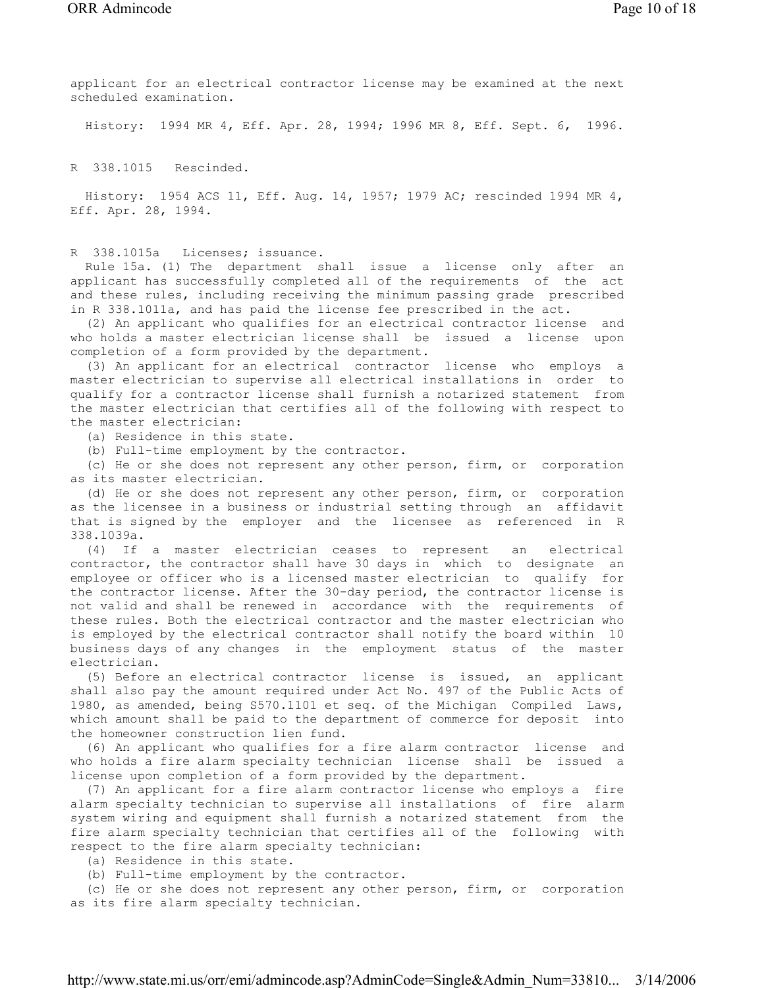applicant for an electrical contractor license may be examined at the next scheduled examination.

History: 1994 MR 4, Eff. Apr. 28, 1994; 1996 MR 8, Eff. Sept. 6, 1996.

R 338.1015 Rescinded.

 History: 1954 ACS 11, Eff. Aug. 14, 1957; 1979 AC; rescinded 1994 MR 4, Eff. Apr. 28, 1994.

R 338.1015a Licenses; issuance.

 Rule 15a. (1) The department shall issue a license only after an applicant has successfully completed all of the requirements of the act and these rules, including receiving the minimum passing grade prescribed in R 338.1011a, and has paid the license fee prescribed in the act.

 (2) An applicant who qualifies for an electrical contractor license and who holds a master electrician license shall be issued a license upon completion of a form provided by the department.

 (3) An applicant for an electrical contractor license who employs a master electrician to supervise all electrical installations in order to qualify for a contractor license shall furnish a notarized statement from the master electrician that certifies all of the following with respect to the master electrician:

(a) Residence in this state.

(b) Full-time employment by the contractor.

 (c) He or she does not represent any other person, firm, or corporation as its master electrician.

 (d) He or she does not represent any other person, firm, or corporation as the licensee in a business or industrial setting through an affidavit that is signed by the employer and the licensee as referenced in R 338.1039a.

 (4) If a master electrician ceases to represent an electrical contractor, the contractor shall have 30 days in which to designate an employee or officer who is a licensed master electrician to qualify for the contractor license. After the 30-day period, the contractor license is not valid and shall be renewed in accordance with the requirements of these rules. Both the electrical contractor and the master electrician who is employed by the electrical contractor shall notify the board within 10 business days of any changes in the employment status of the master electrician.

 (5) Before an electrical contractor license is issued, an applicant shall also pay the amount required under Act No. 497 of the Public Acts of 1980, as amended, being S570.1101 et seq. of the Michigan Compiled Laws, which amount shall be paid to the department of commerce for deposit into the homeowner construction lien fund.

 (6) An applicant who qualifies for a fire alarm contractor license and who holds a fire alarm specialty technician license shall be issued a license upon completion of a form provided by the department.

 (7) An applicant for a fire alarm contractor license who employs a fire alarm specialty technician to supervise all installations of fire alarm system wiring and equipment shall furnish a notarized statement from the fire alarm specialty technician that certifies all of the following with respect to the fire alarm specialty technician:

(a) Residence in this state.

(b) Full-time employment by the contractor.

 (c) He or she does not represent any other person, firm, or corporation as its fire alarm specialty technician.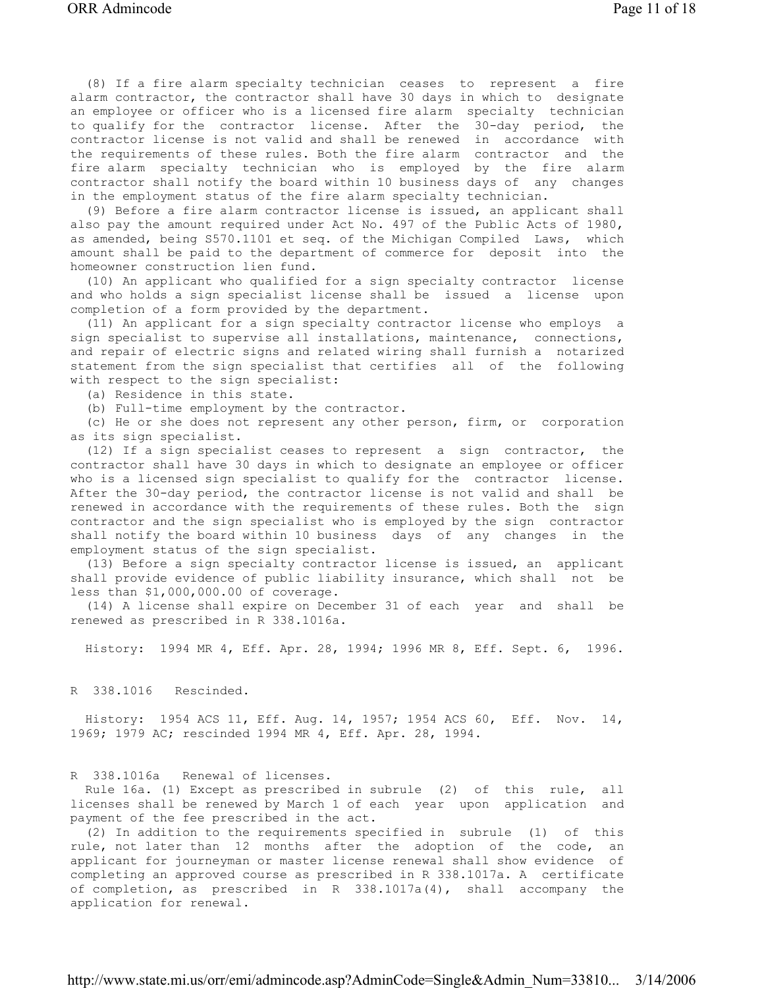(8) If a fire alarm specialty technician ceases to represent a fire alarm contractor, the contractor shall have 30 days in which to designate an employee or officer who is a licensed fire alarm specialty technician to qualify for the contractor license. After the 30-day period, the contractor license is not valid and shall be renewed in accordance with the requirements of these rules. Both the fire alarm contractor and the fire alarm specialty technician who is employed by the fire alarm contractor shall notify the board within 10 business days of any changes in the employment status of the fire alarm specialty technician.

 (9) Before a fire alarm contractor license is issued, an applicant shall also pay the amount required under Act No. 497 of the Public Acts of 1980, as amended, being S570.1101 et seq. of the Michigan Compiled Laws, which amount shall be paid to the department of commerce for deposit into the homeowner construction lien fund.

 (10) An applicant who qualified for a sign specialty contractor license and who holds a sign specialist license shall be issued a license upon completion of a form provided by the department.

 (11) An applicant for a sign specialty contractor license who employs a sign specialist to supervise all installations, maintenance, connections, and repair of electric signs and related wiring shall furnish a notarized statement from the sign specialist that certifies all of the following with respect to the sign specialist:

(a) Residence in this state.

(b) Full-time employment by the contractor.

 (c) He or she does not represent any other person, firm, or corporation as its sign specialist.

 (12) If a sign specialist ceases to represent a sign contractor, the contractor shall have 30 days in which to designate an employee or officer who is a licensed sign specialist to qualify for the contractor license. After the 30-day period, the contractor license is not valid and shall be renewed in accordance with the requirements of these rules. Both the sign contractor and the sign specialist who is employed by the sign contractor shall notify the board within 10 business days of any changes in the employment status of the sign specialist.

 (13) Before a sign specialty contractor license is issued, an applicant shall provide evidence of public liability insurance, which shall not be less than \$1,000,000.00 of coverage.

 (14) A license shall expire on December 31 of each year and shall be renewed as prescribed in R 338.1016a.

History: 1994 MR 4, Eff. Apr. 28, 1994; 1996 MR 8, Eff. Sept. 6, 1996.

R 338.1016 Rescinded.

 History: 1954 ACS 11, Eff. Aug. 14, 1957; 1954 ACS 60, Eff. Nov. 14, 1969; 1979 AC; rescinded 1994 MR 4, Eff. Apr. 28, 1994.

R 338.1016a Renewal of licenses.

 Rule 16a. (1) Except as prescribed in subrule (2) of this rule, all licenses shall be renewed by March 1 of each year upon application and payment of the fee prescribed in the act.

 (2) In addition to the requirements specified in subrule (1) of this rule, not later than 12 months after the adoption of the code, an applicant for journeyman or master license renewal shall show evidence of completing an approved course as prescribed in R 338.1017a. A certificate of completion, as prescribed in R 338.1017a(4), shall accompany the application for renewal.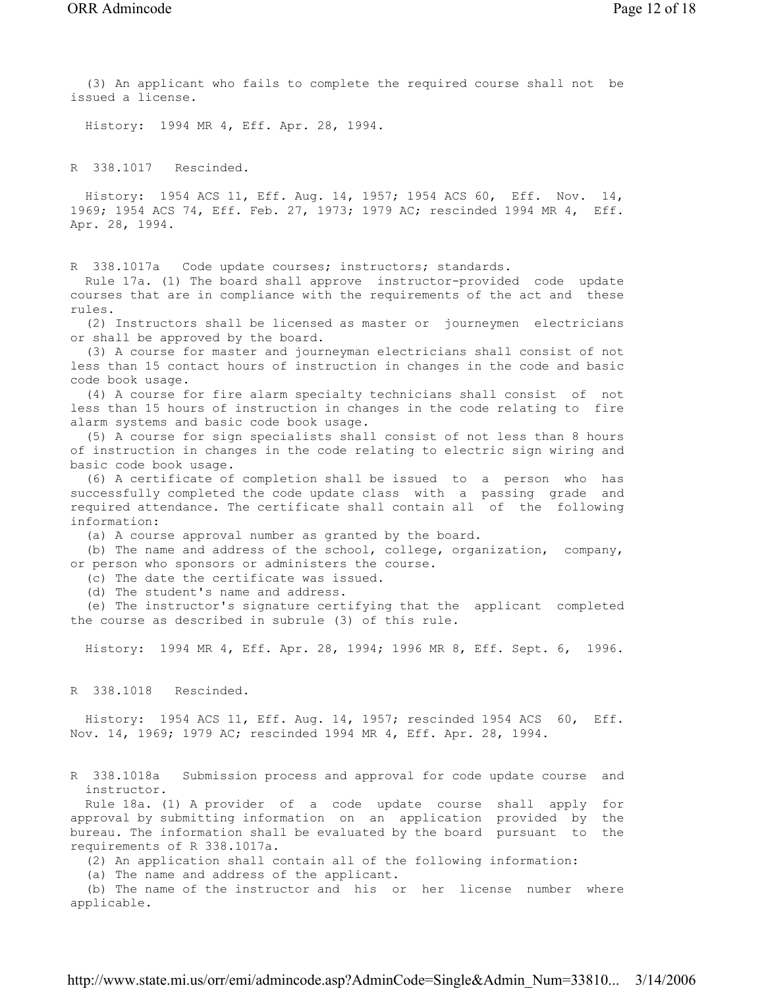(3) An applicant who fails to complete the required course shall not be issued a license. History: 1994 MR 4, Eff. Apr. 28, 1994. R 338.1017 Rescinded. History: 1954 ACS 11, Eff. Aug. 14, 1957; 1954 ACS 60, Eff. Nov. 14, 1969; 1954 ACS 74, Eff. Feb. 27, 1973; 1979 AC; rescinded 1994 MR 4, Eff. Apr. 28, 1994. R 338.1017a Code update courses; instructors; standards. Rule 17a. (1) The board shall approve instructor-provided code update courses that are in compliance with the requirements of the act and these rules. (2) Instructors shall be licensed as master or journeymen electricians or shall be approved by the board. (3) A course for master and journeyman electricians shall consist of not less than 15 contact hours of instruction in changes in the code and basic

code book usage. (4) A course for fire alarm specialty technicians shall consist of not less than 15 hours of instruction in changes in the code relating to fire

 (5) A course for sign specialists shall consist of not less than 8 hours of instruction in changes in the code relating to electric sign wiring and basic code book usage.

 (6) A certificate of completion shall be issued to a person who has successfully completed the code update class with a passing grade and required attendance. The certificate shall contain all of the following information:

(a) A course approval number as granted by the board.

 (b) The name and address of the school, college, organization, company, or person who sponsors or administers the course.

(c) The date the certificate was issued.

(d) The student's name and address.

alarm systems and basic code book usage.

 (e) The instructor's signature certifying that the applicant completed the course as described in subrule (3) of this rule.

History: 1994 MR 4, Eff. Apr. 28, 1994; 1996 MR 8, Eff. Sept. 6, 1996.

R 338.1018 Rescinded.

 History: 1954 ACS 11, Eff. Aug. 14, 1957; rescinded 1954 ACS 60, Eff. Nov. 14, 1969; 1979 AC; rescinded 1994 MR 4, Eff. Apr. 28, 1994.

R 338.1018a Submission process and approval for code update course and instructor.

 Rule 18a. (1) A provider of a code update course shall apply for approval by submitting information on an application provided by the bureau. The information shall be evaluated by the board pursuant to the requirements of R 338.1017a.

(2) An application shall contain all of the following information:

(a) The name and address of the applicant.

 (b) The name of the instructor and his or her license number where applicable.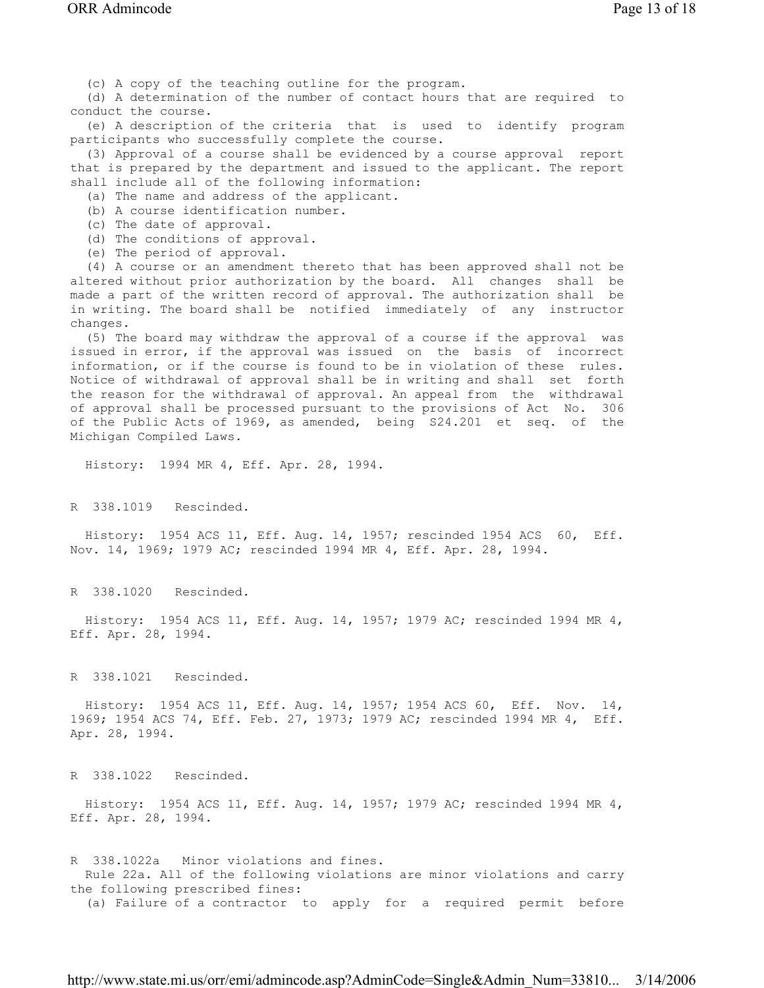(c) A copy of the teaching outline for the program.

 (d) A determination of the number of contact hours that are required to conduct the course.

 (e) A description of the criteria that is used to identify program participants who successfully complete the course.

 (3) Approval of a course shall be evidenced by a course approval report that is prepared by the department and issued to the applicant. The report shall include all of the following information:

(a) The name and address of the applicant.

(b) A course identification number.

(c) The date of approval.

(d) The conditions of approval.

(e) The period of approval.

 (4) A course or an amendment thereto that has been approved shall not be altered without prior authorization by the board. All changes shall be made a part of the written record of approval. The authorization shall be in writing. The board shall be notified immediately of any instructor changes.

 (5) The board may withdraw the approval of a course if the approval was issued in error, if the approval was issued on the basis of incorrect information, or if the course is found to be in violation of these rules. Notice of withdrawal of approval shall be in writing and shall set forth the reason for the withdrawal of approval. An appeal from the withdrawal of approval shall be processed pursuant to the provisions of Act No. 306 of the Public Acts of 1969, as amended, being S24.201 et seq. of the Michigan Compiled Laws.

History: 1994 MR 4, Eff. Apr. 28, 1994.

R 338.1019 Rescinded.

 History: 1954 ACS 11, Eff. Aug. 14, 1957; rescinded 1954 ACS 60, Eff. Nov. 14, 1969; 1979 AC; rescinded 1994 MR 4, Eff. Apr. 28, 1994.

R 338.1020 Rescinded.

 History: 1954 ACS 11, Eff. Aug. 14, 1957; 1979 AC; rescinded 1994 MR 4, Eff. Apr. 28, 1994.

R 338.1021 Rescinded.

 History: 1954 ACS 11, Eff. Aug. 14, 1957; 1954 ACS 60, Eff. Nov. 14, 1969; 1954 ACS 74, Eff. Feb. 27, 1973; 1979 AC; rescinded 1994 MR 4, Eff. Apr. 28, 1994.

R 338.1022 Rescinded.

 History: 1954 ACS 11, Eff. Aug. 14, 1957; 1979 AC; rescinded 1994 MR 4, Eff. Apr. 28, 1994.

R 338.1022a Minor violations and fines. Rule 22a. All of the following violations are minor violations and carry the following prescribed fines: (a) Failure of a contractor to apply for a required permit before

http://www.state.mi.us/orr/emi/admincode.asp?AdminCode=Single&Admin\_Num=33810... 3/14/2006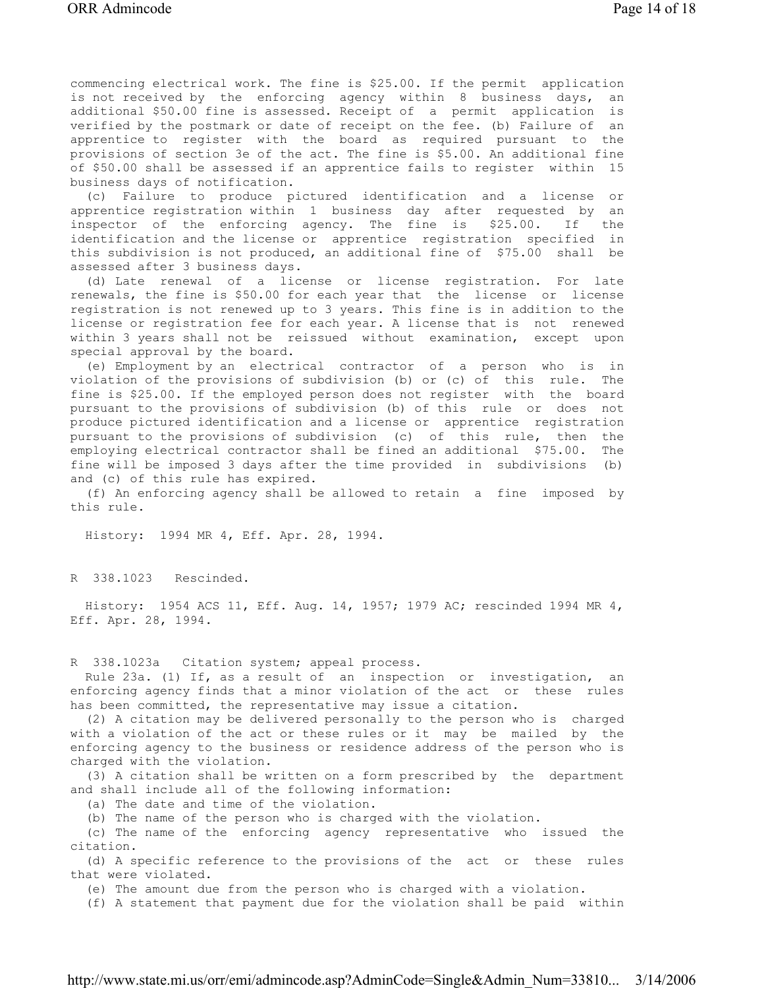commencing electrical work. The fine is \$25.00. If the permit application is not received by the enforcing agency within 8 business days, an additional \$50.00 fine is assessed. Receipt of a permit application is verified by the postmark or date of receipt on the fee. (b) Failure of an apprentice to register with the board as required pursuant to the provisions of section 3e of the act. The fine is \$5.00. An additional fine of \$50.00 shall be assessed if an apprentice fails to register within 15 business days of notification.

 (c) Failure to produce pictured identification and a license or apprentice registration within 1 business day after requested by an inspector of the enforcing agency. The fine is \$25.00. If the identification and the license or apprentice registration specified in this subdivision is not produced, an additional fine of \$75.00 shall be assessed after 3 business days.

 (d) Late renewal of a license or license registration. For late renewals, the fine is \$50.00 for each year that the license or license registration is not renewed up to 3 years. This fine is in addition to the license or registration fee for each year. A license that is not renewed within 3 years shall not be reissued without examination, except upon special approval by the board.

 (e) Employment by an electrical contractor of a person who is in violation of the provisions of subdivision (b) or (c) of this rule. The fine is \$25.00. If the employed person does not register with the board pursuant to the provisions of subdivision (b) of this rule or does not produce pictured identification and a license or apprentice registration pursuant to the provisions of subdivision (c) of this rule, then the employing electrical contractor shall be fined an additional \$75.00. The fine will be imposed 3 days after the time provided in subdivisions (b) and (c) of this rule has expired.

 (f) An enforcing agency shall be allowed to retain a fine imposed by this rule.

History: 1994 MR 4, Eff. Apr. 28, 1994.

R 338.1023 Rescinded.

 History: 1954 ACS 11, Eff. Aug. 14, 1957; 1979 AC; rescinded 1994 MR 4, Eff. Apr. 28, 1994.

R 338.1023a Citation system; appeal process.

 Rule 23a. (1) If, as a result of an inspection or investigation, an enforcing agency finds that a minor violation of the act or these rules has been committed, the representative may issue a citation.

 (2) A citation may be delivered personally to the person who is charged with a violation of the act or these rules or it may be mailed by the enforcing agency to the business or residence address of the person who is charged with the violation.

 (3) A citation shall be written on a form prescribed by the department and shall include all of the following information:

(a) The date and time of the violation.

(b) The name of the person who is charged with the violation.

 (c) The name of the enforcing agency representative who issued the citation.

 (d) A specific reference to the provisions of the act or these rules that were violated.

(e) The amount due from the person who is charged with a violation.

(f) A statement that payment due for the violation shall be paid within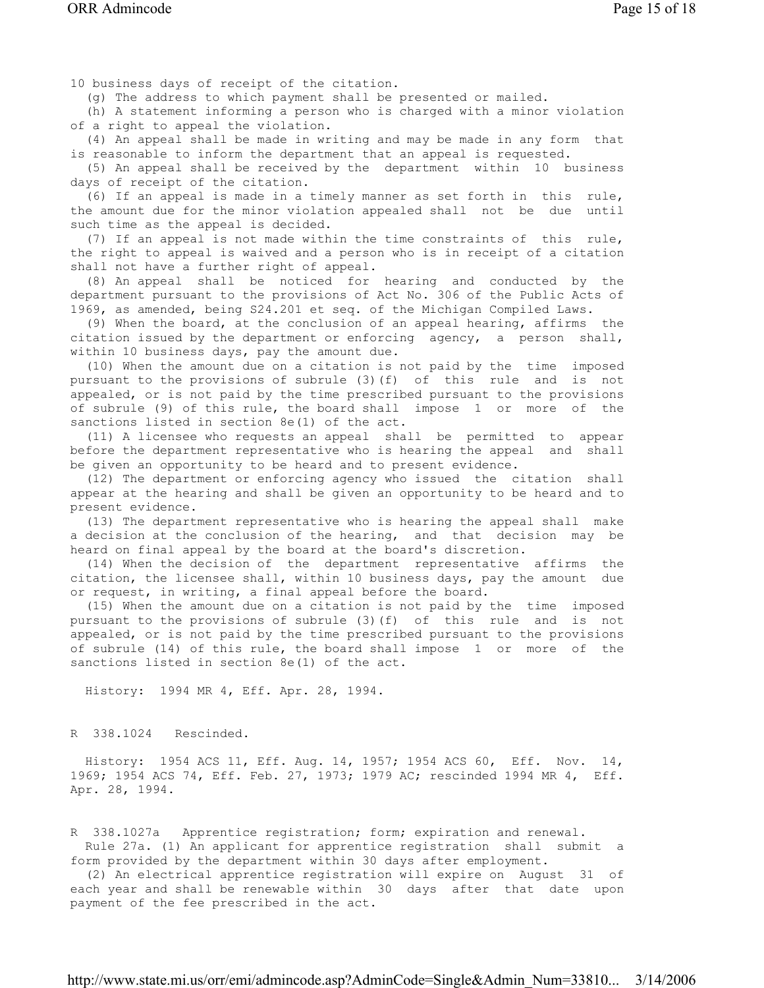10 business days of receipt of the citation.

(g) The address to which payment shall be presented or mailed.

 (h) A statement informing a person who is charged with a minor violation of a right to appeal the violation.

 (4) An appeal shall be made in writing and may be made in any form that is reasonable to inform the department that an appeal is requested.

 (5) An appeal shall be received by the department within 10 business days of receipt of the citation.

 (6) If an appeal is made in a timely manner as set forth in this rule, the amount due for the minor violation appealed shall not be due until such time as the appeal is decided.

 (7) If an appeal is not made within the time constraints of this rule, the right to appeal is waived and a person who is in receipt of a citation shall not have a further right of appeal.

 (8) An appeal shall be noticed for hearing and conducted by the department pursuant to the provisions of Act No. 306 of the Public Acts of 1969, as amended, being S24.201 et seq. of the Michigan Compiled Laws.

 (9) When the board, at the conclusion of an appeal hearing, affirms the citation issued by the department or enforcing agency, a person shall, within 10 business days, pay the amount due.

 (10) When the amount due on a citation is not paid by the time imposed pursuant to the provisions of subrule (3)(f) of this rule and is not appealed, or is not paid by the time prescribed pursuant to the provisions of subrule (9) of this rule, the board shall impose 1 or more of the sanctions listed in section 8e(1) of the act.

 (11) A licensee who requests an appeal shall be permitted to appear before the department representative who is hearing the appeal and shall be given an opportunity to be heard and to present evidence.

 (12) The department or enforcing agency who issued the citation shall appear at the hearing and shall be given an opportunity to be heard and to present evidence.

 (13) The department representative who is hearing the appeal shall make a decision at the conclusion of the hearing, and that decision may be heard on final appeal by the board at the board's discretion.

 (14) When the decision of the department representative affirms the citation, the licensee shall, within 10 business days, pay the amount due or request, in writing, a final appeal before the board.

 (15) When the amount due on a citation is not paid by the time imposed pursuant to the provisions of subrule (3)(f) of this rule and is not appealed, or is not paid by the time prescribed pursuant to the provisions of subrule (14) of this rule, the board shall impose 1 or more of the sanctions listed in section 8e(1) of the act.

History: 1994 MR 4, Eff. Apr. 28, 1994.

R 338.1024 Rescinded.

 History: 1954 ACS 11, Eff. Aug. 14, 1957; 1954 ACS 60, Eff. Nov. 14, 1969; 1954 ACS 74, Eff. Feb. 27, 1973; 1979 AC; rescinded 1994 MR 4, Eff. Apr. 28, 1994.

R 338.1027a Apprentice registration; form; expiration and renewal. Rule 27a. (1) An applicant for apprentice registration shall submit a form provided by the department within 30 days after employment.

 (2) An electrical apprentice registration will expire on August 31 of each year and shall be renewable within 30 days after that date upon payment of the fee prescribed in the act.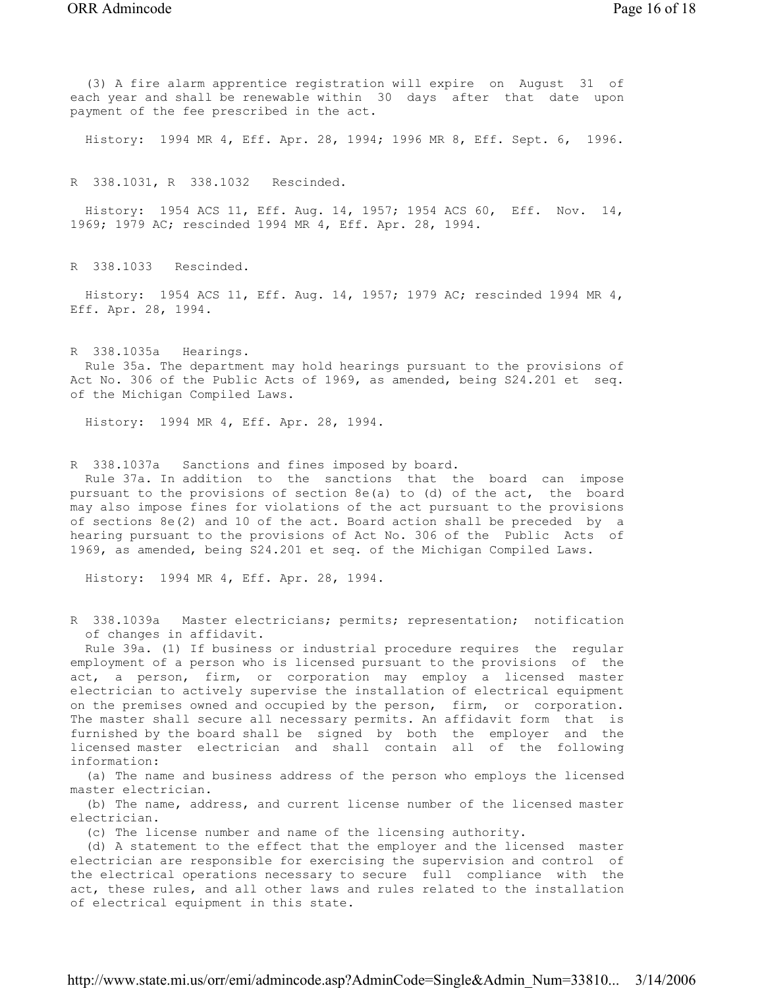(3) A fire alarm apprentice registration will expire on August 31 of each year and shall be renewable within 30 days after that date upon payment of the fee prescribed in the act.

History: 1994 MR 4, Eff. Apr. 28, 1994; 1996 MR 8, Eff. Sept. 6, 1996.

R 338.1031, R 338.1032 Rescinded.

 History: 1954 ACS 11, Eff. Aug. 14, 1957; 1954 ACS 60, Eff. Nov. 14, 1969; 1979 AC; rescinded 1994 MR 4, Eff. Apr. 28, 1994.

R 338.1033 Rescinded.

 History: 1954 ACS 11, Eff. Aug. 14, 1957; 1979 AC; rescinded 1994 MR 4, Eff. Apr. 28, 1994.

R 338.1035a Hearings. Rule 35a. The department may hold hearings pursuant to the provisions of Act No. 306 of the Public Acts of 1969, as amended, being S24.201 et seq. of the Michigan Compiled Laws.

History: 1994 MR 4, Eff. Apr. 28, 1994.

R 338.1037a Sanctions and fines imposed by board.

 Rule 37a. In addition to the sanctions that the board can impose pursuant to the provisions of section 8e(a) to (d) of the act, the board may also impose fines for violations of the act pursuant to the provisions of sections 8e(2) and 10 of the act. Board action shall be preceded by a hearing pursuant to the provisions of Act No. 306 of the Public Acts of 1969, as amended, being S24.201 et seq. of the Michigan Compiled Laws.

History: 1994 MR 4, Eff. Apr. 28, 1994.

R 338.1039a Master electricians; permits; representation; notification of changes in affidavit.

 Rule 39a. (1) If business or industrial procedure requires the regular employment of a person who is licensed pursuant to the provisions of the act, a person, firm, or corporation may employ a licensed master electrician to actively supervise the installation of electrical equipment on the premises owned and occupied by the person, firm, or corporation. The master shall secure all necessary permits. An affidavit form that is furnished by the board shall be signed by both the employer and the licensed master electrician and shall contain all of the following information:

 (a) The name and business address of the person who employs the licensed master electrician.

 (b) The name, address, and current license number of the licensed master electrician.

(c) The license number and name of the licensing authority.

 (d) A statement to the effect that the employer and the licensed master electrician are responsible for exercising the supervision and control of the electrical operations necessary to secure full compliance with the act, these rules, and all other laws and rules related to the installation of electrical equipment in this state.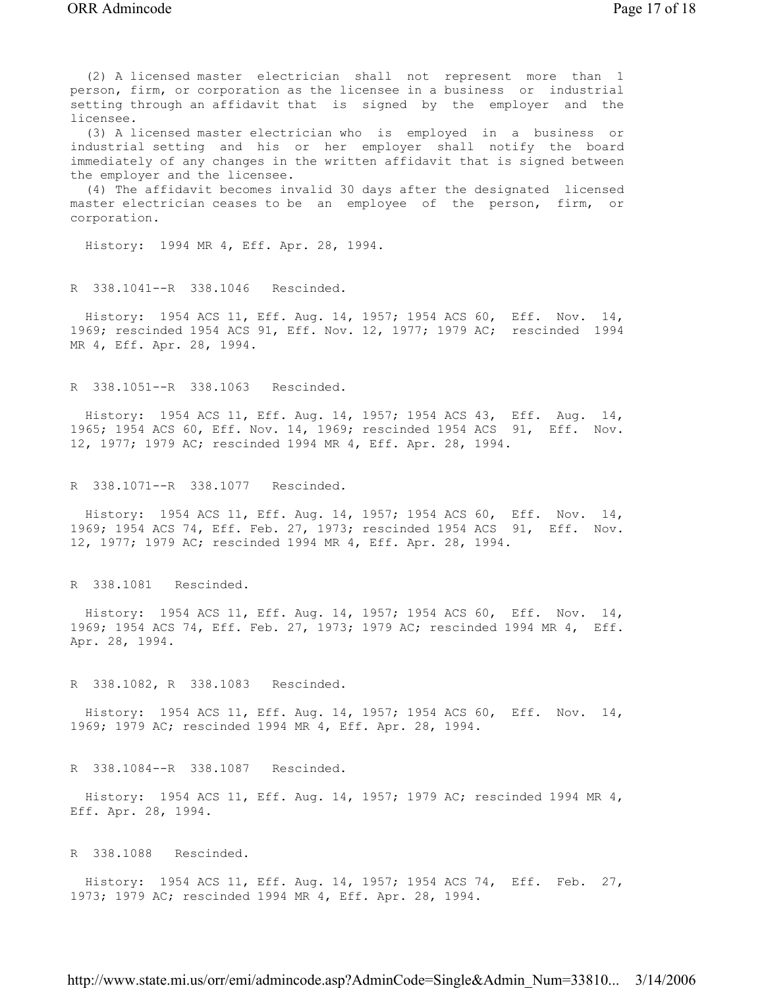(2) A licensed master electrician shall not represent more than 1 person, firm, or corporation as the licensee in a business or industrial setting through an affidavit that is signed by the employer and the licensee.

 (3) A licensed master electrician who is employed in a business or industrial setting and his or her employer shall notify the board immediately of any changes in the written affidavit that is signed between the employer and the licensee.

 (4) The affidavit becomes invalid 30 days after the designated licensed master electrician ceases to be an employee of the person, firm, or corporation.

History: 1994 MR 4, Eff. Apr. 28, 1994.

R 338.1041--R 338.1046 Rescinded.

 History: 1954 ACS 11, Eff. Aug. 14, 1957; 1954 ACS 60, Eff. Nov. 14, 1969; rescinded 1954 ACS 91, Eff. Nov. 12, 1977; 1979 AC; rescinded 1994 MR 4, Eff. Apr. 28, 1994.

R 338.1051--R 338.1063 Rescinded.

 History: 1954 ACS 11, Eff. Aug. 14, 1957; 1954 ACS 43, Eff. Aug. 14, 1965; 1954 ACS 60, Eff. Nov. 14, 1969; rescinded 1954 ACS 91, Eff. Nov. 12, 1977; 1979 AC; rescinded 1994 MR 4, Eff. Apr. 28, 1994.

R 338.1071--R 338.1077 Rescinded.

 History: 1954 ACS 11, Eff. Aug. 14, 1957; 1954 ACS 60, Eff. Nov. 14, 1969; 1954 ACS 74, Eff. Feb. 27, 1973; rescinded 1954 ACS 91, Eff. Nov. 12, 1977; 1979 AC; rescinded 1994 MR 4, Eff. Apr. 28, 1994.

R 338.1081 Rescinded.

 History: 1954 ACS 11, Eff. Aug. 14, 1957; 1954 ACS 60, Eff. Nov. 14, 1969; 1954 ACS 74, Eff. Feb. 27, 1973; 1979 AC; rescinded 1994 MR 4, Eff. Apr. 28, 1994.

R 338.1082, R 338.1083 Rescinded.

 History: 1954 ACS 11, Eff. Aug. 14, 1957; 1954 ACS 60, Eff. Nov. 14, 1969; 1979 AC; rescinded 1994 MR 4, Eff. Apr. 28, 1994.

R 338.1084--R 338.1087 Rescinded.

 History: 1954 ACS 11, Eff. Aug. 14, 1957; 1979 AC; rescinded 1994 MR 4, Eff. Apr. 28, 1994.

R 338.1088 Rescinded.

 History: 1954 ACS 11, Eff. Aug. 14, 1957; 1954 ACS 74, Eff. Feb. 27, 1973; 1979 AC; rescinded 1994 MR 4, Eff. Apr. 28, 1994.

http://www.state.mi.us/orr/emi/admincode.asp?AdminCode=Single&Admin\_Num=33810... 3/14/2006